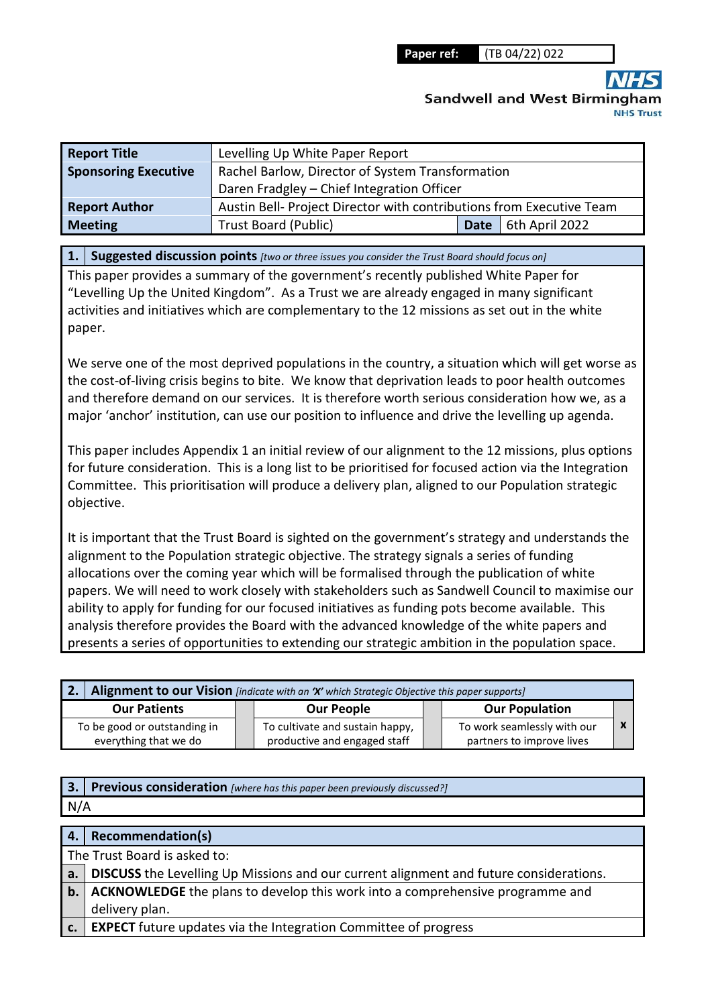**Sandwell and West Birmingha** 

| <b>Report Title</b>         | Levelling Up White Paper Report                                      |             |                |  |  |
|-----------------------------|----------------------------------------------------------------------|-------------|----------------|--|--|
| <b>Sponsoring Executive</b> | Rachel Barlow, Director of System Transformation                     |             |                |  |  |
|                             | Daren Fradgley - Chief Integration Officer                           |             |                |  |  |
| <b>Report Author</b>        | Austin Bell- Project Director with contributions from Executive Team |             |                |  |  |
| <b>Meeting</b>              | <b>Trust Board (Public)</b>                                          | <b>Date</b> | 6th April 2022 |  |  |

**1. Suggested discussion points** *[two or three issues you consider the Trust Board should focus on]* 

This paper provides a summary of the government's recently published White Paper for "Levelling Up the United Kingdom". As a Trust we are already engaged in many significant activities and initiatives which are complementary to the 12 missions as set out in the white paper.

We serve one of the most deprived populations in the country, a situation which will get worse as the cost-of-living crisis begins to bite. We know that deprivation leads to poor health outcomes and therefore demand on our services. It is therefore worth serious consideration how we, as a major 'anchor' institution, can use our position to influence and drive the levelling up agenda.

This paper includes Appendix 1 an initial review of our alignment to the 12 missions, plus options for future consideration. This is a long list to be prioritised for focused action via the Integration Committee. This prioritisation will produce a delivery plan, aligned to our Population strategic objective.

It is important that the Trust Board is sighted on the government's strategy and understands the alignment to the Population strategic objective. The strategy signals a series of funding allocations over the coming year which will be formalised through the publication of white papers. We will need to work closely with stakeholders such as Sandwell Council to maximise our ability to apply for funding for our focused initiatives as funding pots become available. This analysis therefore provides the Board with the advanced knowledge of the white papers and presents a series of opportunities to extending our strategic ambition in the population space.

|                              | <b>2.</b> Alignment to our Vision [indicate with an 'X' which Strategic Objective this paper supports] |                                 |  |                             |  |
|------------------------------|--------------------------------------------------------------------------------------------------------|---------------------------------|--|-----------------------------|--|
| <b>Our Patients</b>          |                                                                                                        | <b>Our People</b>               |  | <b>Our Population</b>       |  |
| To be good or outstanding in |                                                                                                        | To cultivate and sustain happy, |  | To work seamlessly with our |  |
| everything that we do        |                                                                                                        | productive and engaged staff    |  | partners to improve lives   |  |

| 3.          | Previous consideration [where has this paper been previously discussed?]               |
|-------------|----------------------------------------------------------------------------------------|
| N/A         |                                                                                        |
|             |                                                                                        |
|             | 4.   Recommendation(s)                                                                 |
|             | The Trust Board is asked to:                                                           |
| a.          | DISCUSS the Levelling Up Missions and our current alignment and future considerations. |
| $b$ .       | ACKNOWLEDGE the plans to develop this work into a comprehensive programme and          |
|             | delivery plan.                                                                         |
| $c_{\cdot}$ | EXPECT future updates via the Integration Committee of progress                        |
|             |                                                                                        |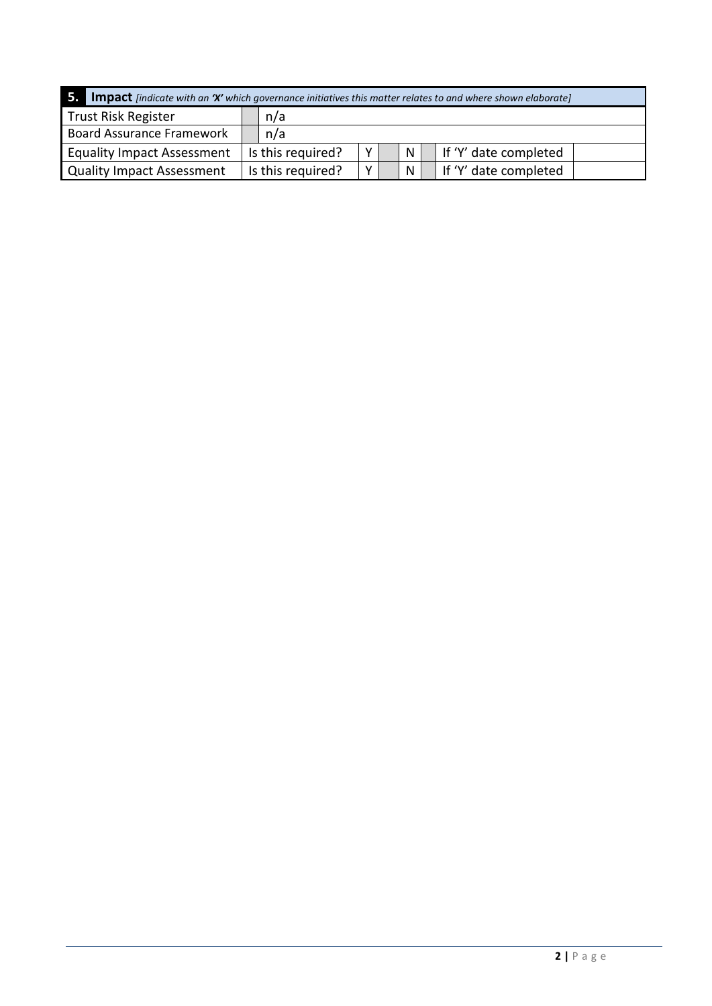| 5.<br><b>Impact</b> [indicate with an 'X' which governance initiatives this matter relates to and where shown elaborate] |  |                   |  |              |  |                       |
|--------------------------------------------------------------------------------------------------------------------------|--|-------------------|--|--------------|--|-----------------------|
| <b>Trust Risk Register</b><br>n/a                                                                                        |  |                   |  |              |  |                       |
| <b>Board Assurance Framework</b>                                                                                         |  | n/a               |  |              |  |                       |
| <b>Equality Impact Assessment</b>                                                                                        |  | Is this required? |  | $\mathsf{N}$ |  | If 'Y' date completed |
| <b>Quality Impact Assessment</b>                                                                                         |  | Is this required? |  | N            |  | If 'Y' date completed |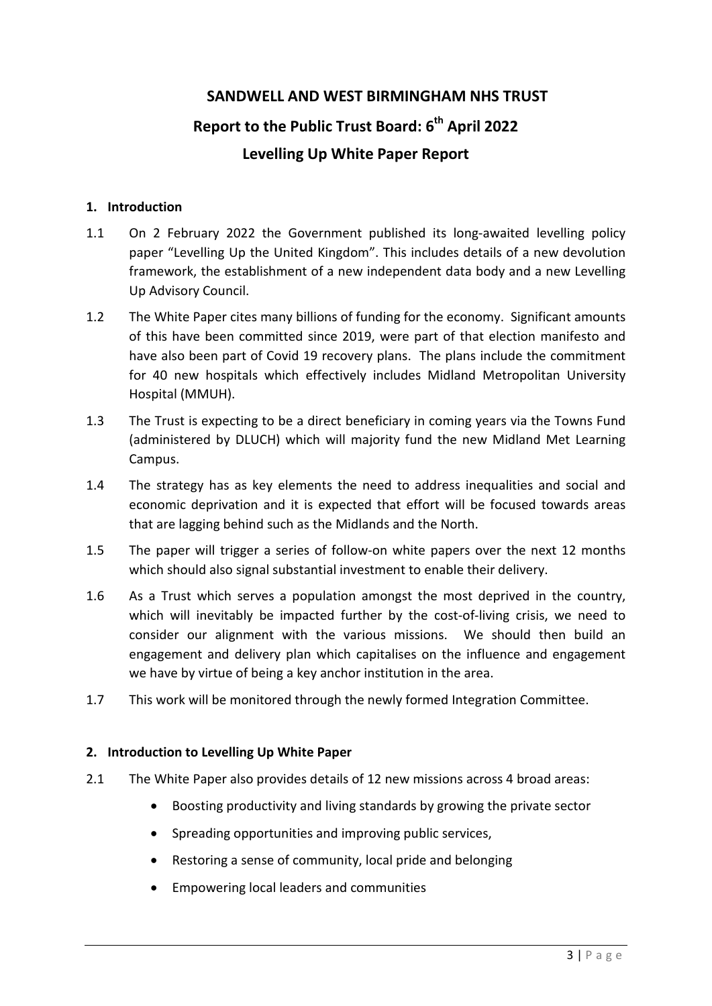# **SANDWELL AND WEST BIRMINGHAM NHS TRUST**

# **Report to the Public Trust Board: 6th April 2022 Levelling Up White Paper Report**

## **1. Introduction**

- 1.1 On 2 February 2022 the Government published its long-awaited levelling policy paper "Levelling Up the United Kingdom". This includes details of a new devolution framework, the establishment of a new independent data body and a new Levelling Up Advisory Council.
- 1.2 The White Paper cites many billions of funding for the economy. Significant amounts of this have been committed since 2019, were part of that election manifesto and have also been part of Covid 19 recovery plans. The plans include the commitment for 40 new hospitals which effectively includes Midland Metropolitan University Hospital (MMUH).
- 1.3 The Trust is expecting to be a direct beneficiary in coming years via the Towns Fund (administered by DLUCH) which will majority fund the new Midland Met Learning Campus.
- 1.4 The strategy has as key elements the need to address inequalities and social and economic deprivation and it is expected that effort will be focused towards areas that are lagging behind such as the Midlands and the North.
- 1.5 The paper will trigger a series of follow-on white papers over the next 12 months which should also signal substantial investment to enable their delivery.
- 1.6 As a Trust which serves a population amongst the most deprived in the country, which will inevitably be impacted further by the cost-of-living crisis, we need to consider our alignment with the various missions. We should then build an engagement and delivery plan which capitalises on the influence and engagement we have by virtue of being a key anchor institution in the area.
- 1.7 This work will be monitored through the newly formed Integration Committee.

# **2. Introduction to Levelling Up White Paper**

- 2.1 The White Paper also provides details of 12 new missions across 4 broad areas:
	- Boosting productivity and living standards by growing the private sector
	- Spreading opportunities and improving public services,
	- Restoring a sense of community, local pride and belonging
	- Empowering local leaders and communities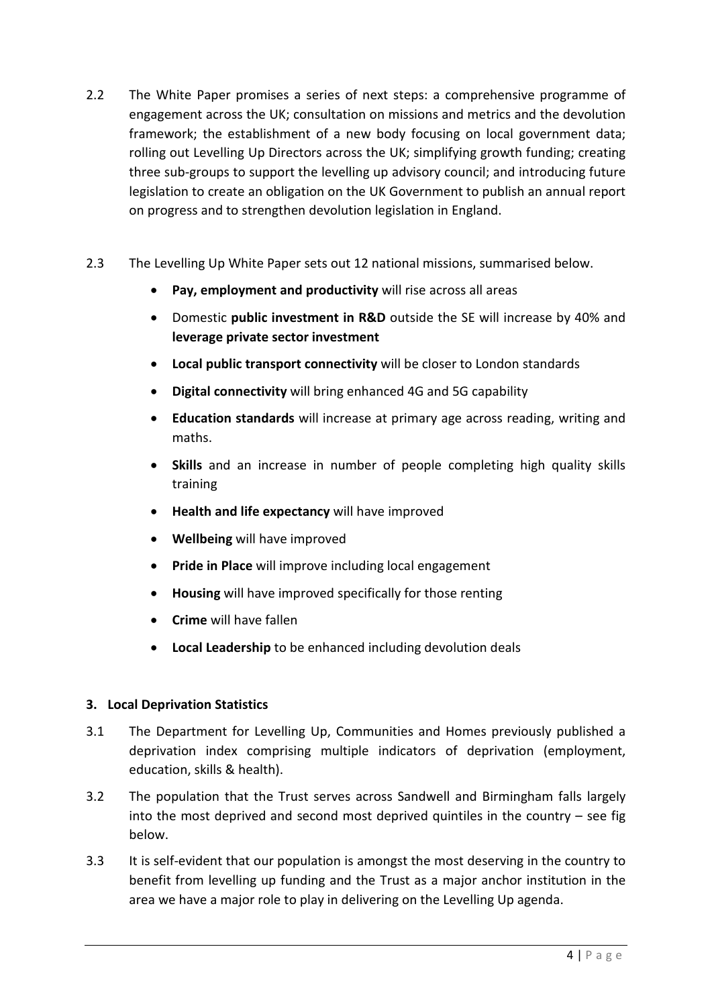- 2.2 The White Paper promises a series of next steps: a comprehensive programme of engagement across the UK; consultation on missions and metrics and the devolution framework; the establishment of a new body focusing on local government data; rolling out Levelling Up Directors across the UK; simplifying growth funding; creating three sub-groups to support the levelling up advisory council; and introducing future legislation to create an obligation on the UK Government to publish an annual report on progress and to strengthen devolution legislation in England.
- 2.3 The Levelling Up White Paper sets out 12 national missions, summarised below.
	- **Pay, employment and productivity** will rise across all areas
	- Domestic **public investment in R&D** outside the SE will increase by 40% and **leverage private sector investment**
	- **Local public transport connectivity** will be closer to London standards
	- **Digital connectivity** will bring enhanced 4G and 5G capability
	- **Education standards** will increase at primary age across reading, writing and maths.
	- **Skills** and an increase in number of people completing high quality skills training
	- **Health and life expectancy** will have improved
	- **Wellbeing** will have improved
	- **Pride in Place** will improve including local engagement
	- **Housing** will have improved specifically for those renting
	- **Crime** will have fallen
	- **Local Leadership** to be enhanced including devolution deals

# **3. Local Deprivation Statistics**

- 3.1 The Department for Levelling Up, Communities and Homes previously published a deprivation index comprising multiple indicators of deprivation (employment, education, skills & health).
- 3.2 The population that the Trust serves across Sandwell and Birmingham falls largely into the most deprived and second most deprived quintiles in the country – see fig below.
- 3.3 It is self-evident that our population is amongst the most deserving in the country to benefit from levelling up funding and the Trust as a major anchor institution in the area we have a major role to play in delivering on the Levelling Up agenda.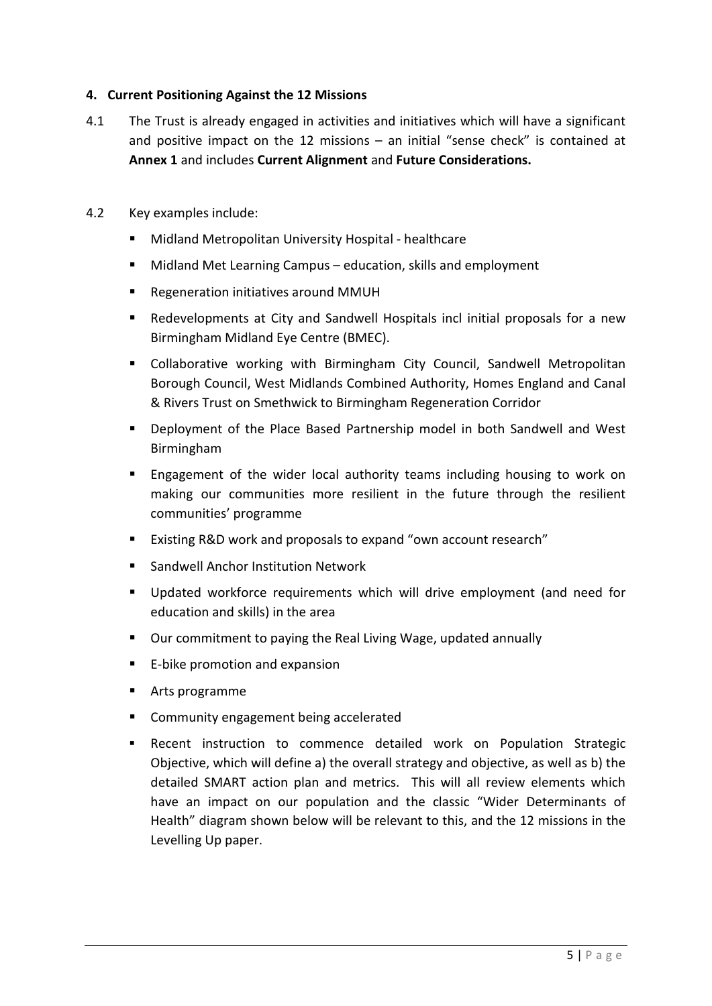## **4. Current Positioning Against the 12 Missions**

- 4.1 The Trust is already engaged in activities and initiatives which will have a significant and positive impact on the 12 missions – an initial "sense check" is contained at **Annex 1** and includes **Current Alignment** and **Future Considerations.**
- 4.2 Key examples include:
	- Midland Metropolitan University Hospital healthcare
	- Midland Met Learning Campus education, skills and employment
	- Regeneration initiatives around MMUH
	- Redevelopments at City and Sandwell Hospitals incl initial proposals for a new Birmingham Midland Eye Centre (BMEC).
	- Collaborative working with Birmingham City Council, Sandwell Metropolitan Borough Council, West Midlands Combined Authority, Homes England and Canal & Rivers Trust on Smethwick to Birmingham Regeneration Corridor
	- Deployment of the Place Based Partnership model in both Sandwell and West Birmingham
	- **Engagement of the wider local authority teams including housing to work on** making our communities more resilient in the future through the resilient communities' programme
	- Existing R&D work and proposals to expand "own account research"
	- **Sandwell Anchor Institution Network**
	- Updated workforce requirements which will drive employment (and need for education and skills) in the area
	- Our commitment to paying the Real Living Wage, updated annually
	- E-bike promotion and expansion
	- Arts programme
	- **EXECOMMUNITY ENGINEER ENGINEER** accelerated
	- Recent instruction to commence detailed work on Population Strategic Objective, which will define a) the overall strategy and objective, as well as b) the detailed SMART action plan and metrics. This will all review elements which have an impact on our population and the classic "Wider Determinants of Health" diagram shown below will be relevant to this, and the 12 missions in the Levelling Up paper.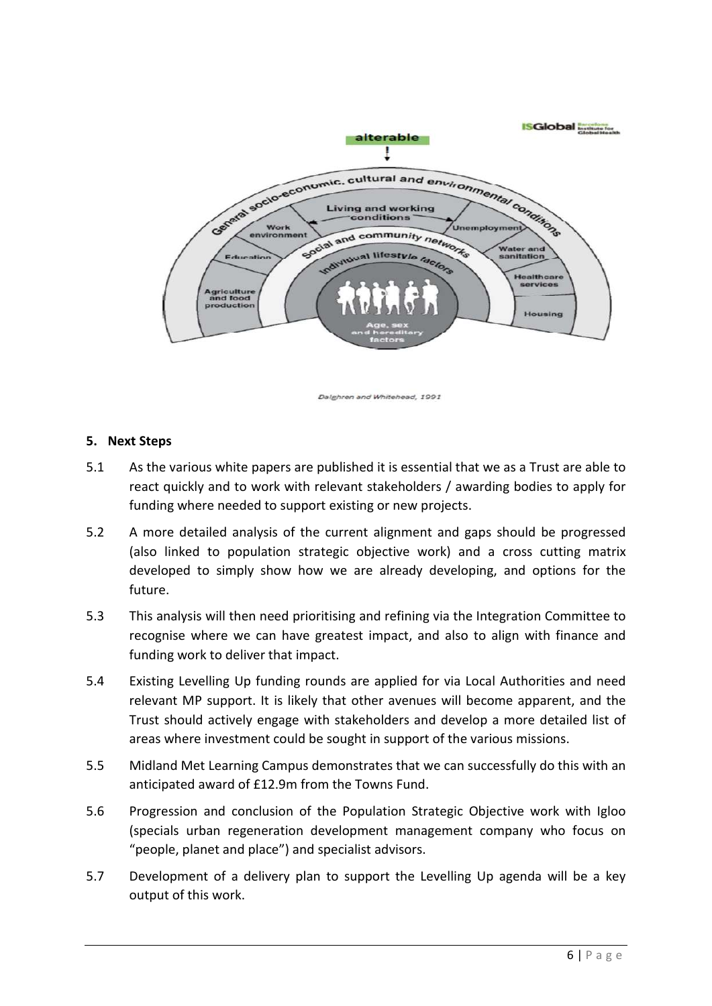

Dalghren and Whitehead, 1991

## **5. Next Steps**

- 5.1 As the various white papers are published it is essential that we as a Trust are able to react quickly and to work with relevant stakeholders / awarding bodies to apply for funding where needed to support existing or new projects.
- 5.2 A more detailed analysis of the current alignment and gaps should be progressed (also linked to population strategic objective work) and a cross cutting matrix developed to simply show how we are already developing, and options for the future.
- 5.3 This analysis will then need prioritising and refining via the Integration Committee to recognise where we can have greatest impact, and also to align with finance and funding work to deliver that impact.
- 5.4 Existing Levelling Up funding rounds are applied for via Local Authorities and need relevant MP support. It is likely that other avenues will become apparent, and the Trust should actively engage with stakeholders and develop a more detailed list of areas where investment could be sought in support of the various missions.
- 5.5 Midland Met Learning Campus demonstrates that we can successfully do this with an anticipated award of £12.9m from the Towns Fund.
- 5.6 Progression and conclusion of the Population Strategic Objective work with Igloo (specials urban regeneration development management company who focus on "people, planet and place") and specialist advisors.
- 5.7 Development of a delivery plan to support the Levelling Up agenda will be a key output of this work.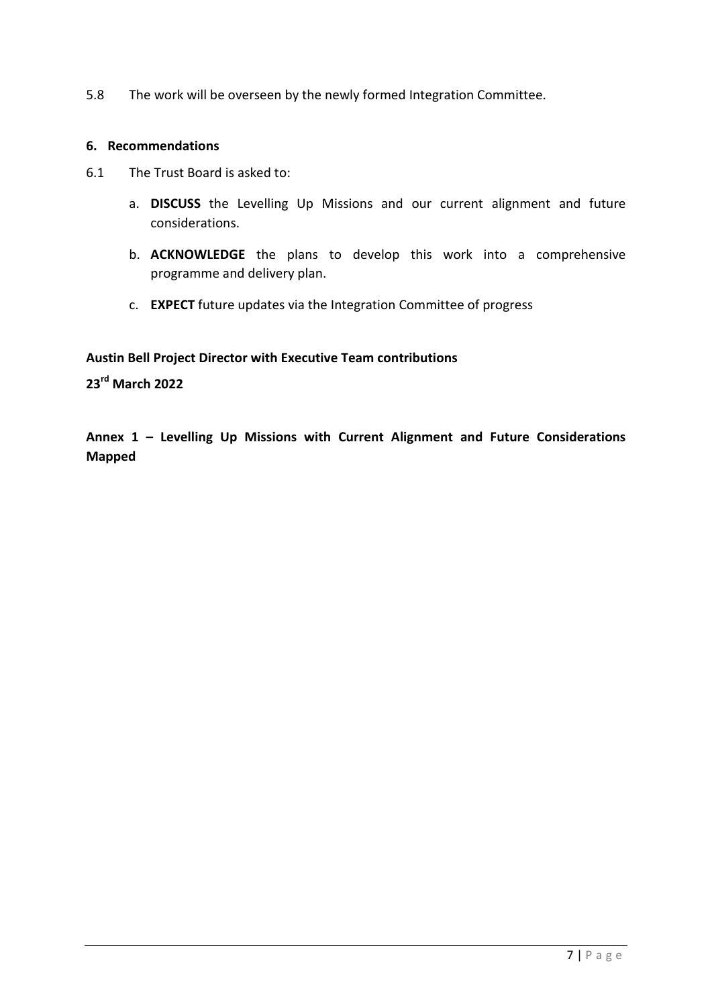5.8 The work will be overseen by the newly formed Integration Committee.

#### **6. Recommendations**

- 6.1 The Trust Board is asked to:
	- a. **DISCUSS** the Levelling Up Missions and our current alignment and future considerations.
	- b. **ACKNOWLEDGE** the plans to develop this work into a comprehensive programme and delivery plan.
	- c. **EXPECT** future updates via the Integration Committee of progress

**Austin Bell Project Director with Executive Team contributions** 

**23rd March 2022** 

**Annex 1 – Levelling Up Missions with Current Alignment and Future Considerations Mapped**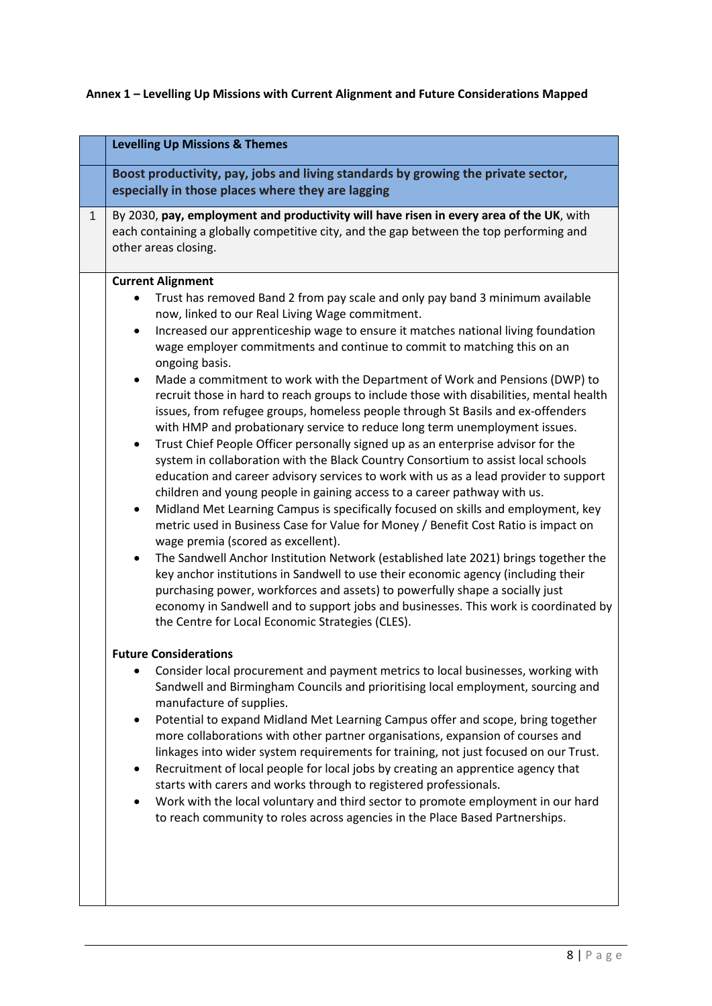# **Annex 1 – Levelling Up Missions with Current Alignment and Future Considerations Mapped**

|   | <b>Levelling Up Missions &amp; Themes</b>                                                                                                                                                                                                                                                                                                                                                                                                                                                                                                                                                                                                                                                                                                                                                                                                                                                                                                                                                                                                                                                                                                                                                                                                                                                                                                                                                                                                                                                                                                                                                                                                                                                                                                                                                                                                                                                                                                                                                                                                                                                                                                                                                                                                                                                                                                                                                                                                                                                                                                                  |
|---|------------------------------------------------------------------------------------------------------------------------------------------------------------------------------------------------------------------------------------------------------------------------------------------------------------------------------------------------------------------------------------------------------------------------------------------------------------------------------------------------------------------------------------------------------------------------------------------------------------------------------------------------------------------------------------------------------------------------------------------------------------------------------------------------------------------------------------------------------------------------------------------------------------------------------------------------------------------------------------------------------------------------------------------------------------------------------------------------------------------------------------------------------------------------------------------------------------------------------------------------------------------------------------------------------------------------------------------------------------------------------------------------------------------------------------------------------------------------------------------------------------------------------------------------------------------------------------------------------------------------------------------------------------------------------------------------------------------------------------------------------------------------------------------------------------------------------------------------------------------------------------------------------------------------------------------------------------------------------------------------------------------------------------------------------------------------------------------------------------------------------------------------------------------------------------------------------------------------------------------------------------------------------------------------------------------------------------------------------------------------------------------------------------------------------------------------------------------------------------------------------------------------------------------------------------|
|   |                                                                                                                                                                                                                                                                                                                                                                                                                                                                                                                                                                                                                                                                                                                                                                                                                                                                                                                                                                                                                                                                                                                                                                                                                                                                                                                                                                                                                                                                                                                                                                                                                                                                                                                                                                                                                                                                                                                                                                                                                                                                                                                                                                                                                                                                                                                                                                                                                                                                                                                                                            |
|   | Boost productivity, pay, jobs and living standards by growing the private sector,<br>especially in those places where they are lagging                                                                                                                                                                                                                                                                                                                                                                                                                                                                                                                                                                                                                                                                                                                                                                                                                                                                                                                                                                                                                                                                                                                                                                                                                                                                                                                                                                                                                                                                                                                                                                                                                                                                                                                                                                                                                                                                                                                                                                                                                                                                                                                                                                                                                                                                                                                                                                                                                     |
| 1 | By 2030, pay, employment and productivity will have risen in every area of the UK, with<br>each containing a globally competitive city, and the gap between the top performing and<br>other areas closing.                                                                                                                                                                                                                                                                                                                                                                                                                                                                                                                                                                                                                                                                                                                                                                                                                                                                                                                                                                                                                                                                                                                                                                                                                                                                                                                                                                                                                                                                                                                                                                                                                                                                                                                                                                                                                                                                                                                                                                                                                                                                                                                                                                                                                                                                                                                                                 |
|   | <b>Current Alignment</b><br>Trust has removed Band 2 from pay scale and only pay band 3 minimum available<br>now, linked to our Real Living Wage commitment.<br>Increased our apprenticeship wage to ensure it matches national living foundation<br>٠<br>wage employer commitments and continue to commit to matching this on an<br>ongoing basis.<br>Made a commitment to work with the Department of Work and Pensions (DWP) to<br>$\bullet$<br>recruit those in hard to reach groups to include those with disabilities, mental health<br>issues, from refugee groups, homeless people through St Basils and ex-offenders<br>with HMP and probationary service to reduce long term unemployment issues.<br>Trust Chief People Officer personally signed up as an enterprise advisor for the<br>٠<br>system in collaboration with the Black Country Consortium to assist local schools<br>education and career advisory services to work with us as a lead provider to support<br>children and young people in gaining access to a career pathway with us.<br>Midland Met Learning Campus is specifically focused on skills and employment, key<br>$\bullet$<br>metric used in Business Case for Value for Money / Benefit Cost Ratio is impact on<br>wage premia (scored as excellent).<br>The Sandwell Anchor Institution Network (established late 2021) brings together the<br>$\bullet$<br>key anchor institutions in Sandwell to use their economic agency (including their<br>purchasing power, workforces and assets) to powerfully shape a socially just<br>economy in Sandwell and to support jobs and businesses. This work is coordinated by<br>the Centre for Local Economic Strategies (CLES).<br><b>Future Considerations</b><br>Consider local procurement and payment metrics to local businesses, working with<br>Sandwell and Birmingham Councils and prioritising local employment, sourcing and<br>manufacture of supplies.<br>Potential to expand Midland Met Learning Campus offer and scope, bring together<br>$\bullet$<br>more collaborations with other partner organisations, expansion of courses and<br>linkages into wider system requirements for training, not just focused on our Trust.<br>Recruitment of local people for local jobs by creating an apprentice agency that<br>starts with carers and works through to registered professionals.<br>Work with the local voluntary and third sector to promote employment in our hard<br>to reach community to roles across agencies in the Place Based Partnerships. |
|   |                                                                                                                                                                                                                                                                                                                                                                                                                                                                                                                                                                                                                                                                                                                                                                                                                                                                                                                                                                                                                                                                                                                                                                                                                                                                                                                                                                                                                                                                                                                                                                                                                                                                                                                                                                                                                                                                                                                                                                                                                                                                                                                                                                                                                                                                                                                                                                                                                                                                                                                                                            |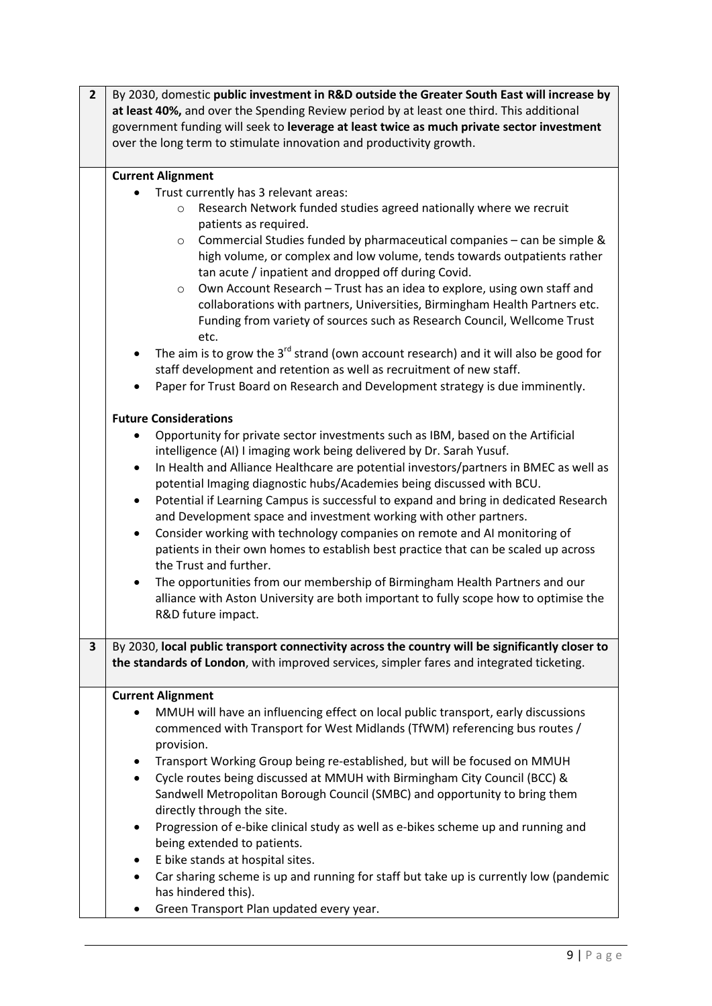| $\overline{2}$ | By 2030, domestic public investment in R&D outside the Greater South East will increase by<br>at least 40%, and over the Spending Review period by at least one third. This additional<br>government funding will seek to leverage at least twice as much private sector investment<br>over the long term to stimulate innovation and productivity growth.                                                                                                                                                                                                                                                                                                                                                                                                                                                                                                                                                                                                                                                                                                                                                                                                                                                                                                                                                                                                                                                                                                                                                                                                                                                                                                                                                                                                                                                                                                                                               |
|----------------|----------------------------------------------------------------------------------------------------------------------------------------------------------------------------------------------------------------------------------------------------------------------------------------------------------------------------------------------------------------------------------------------------------------------------------------------------------------------------------------------------------------------------------------------------------------------------------------------------------------------------------------------------------------------------------------------------------------------------------------------------------------------------------------------------------------------------------------------------------------------------------------------------------------------------------------------------------------------------------------------------------------------------------------------------------------------------------------------------------------------------------------------------------------------------------------------------------------------------------------------------------------------------------------------------------------------------------------------------------------------------------------------------------------------------------------------------------------------------------------------------------------------------------------------------------------------------------------------------------------------------------------------------------------------------------------------------------------------------------------------------------------------------------------------------------------------------------------------------------------------------------------------------------|
|                | <b>Current Alignment</b><br>Trust currently has 3 relevant areas:<br>Research Network funded studies agreed nationally where we recruit<br>$\circ$<br>patients as required.<br>Commercial Studies funded by pharmaceutical companies - can be simple &<br>$\circ$<br>high volume, or complex and low volume, tends towards outpatients rather<br>tan acute / inpatient and dropped off during Covid.<br>Own Account Research - Trust has an idea to explore, using own staff and<br>$\circ$<br>collaborations with partners, Universities, Birmingham Health Partners etc.<br>Funding from variety of sources such as Research Council, Wellcome Trust<br>etc.<br>The aim is to grow the $3^{rd}$ strand (own account research) and it will also be good for<br>$\bullet$<br>staff development and retention as well as recruitment of new staff.<br>Paper for Trust Board on Research and Development strategy is due imminently.<br>٠<br><b>Future Considerations</b><br>Opportunity for private sector investments such as IBM, based on the Artificial<br>intelligence (AI) I imaging work being delivered by Dr. Sarah Yusuf.<br>In Health and Alliance Healthcare are potential investors/partners in BMEC as well as<br>$\bullet$<br>potential Imaging diagnostic hubs/Academies being discussed with BCU.<br>Potential if Learning Campus is successful to expand and bring in dedicated Research<br>٠<br>and Development space and investment working with other partners.<br>Consider working with technology companies on remote and AI monitoring of<br>$\bullet$<br>patients in their own homes to establish best practice that can be scaled up across<br>the Trust and further.<br>The opportunities from our membership of Birmingham Health Partners and our<br>$\bullet$<br>alliance with Aston University are both important to fully scope how to optimise the<br>R&D future impact. |
| 3              | By 2030, local public transport connectivity across the country will be significantly closer to<br>the standards of London, with improved services, simpler fares and integrated ticketing.                                                                                                                                                                                                                                                                                                                                                                                                                                                                                                                                                                                                                                                                                                                                                                                                                                                                                                                                                                                                                                                                                                                                                                                                                                                                                                                                                                                                                                                                                                                                                                                                                                                                                                              |
|                | <b>Current Alignment</b><br>MMUH will have an influencing effect on local public transport, early discussions<br>commenced with Transport for West Midlands (TfWM) referencing bus routes /<br>provision.<br>Transport Working Group being re-established, but will be focused on MMUH<br>٠<br>Cycle routes being discussed at MMUH with Birmingham City Council (BCC) &<br>$\bullet$<br>Sandwell Metropolitan Borough Council (SMBC) and opportunity to bring them<br>directly through the site.<br>Progression of e-bike clinical study as well as e-bikes scheme up and running and<br>٠<br>being extended to patients.<br>E bike stands at hospital sites.<br>٠<br>Car sharing scheme is up and running for staff but take up is currently low (pandemic<br>$\bullet$<br>has hindered this).<br>Green Transport Plan updated every year.                                                                                                                                                                                                                                                                                                                                                                                                                                                                                                                                                                                                                                                                                                                                                                                                                                                                                                                                                                                                                                                             |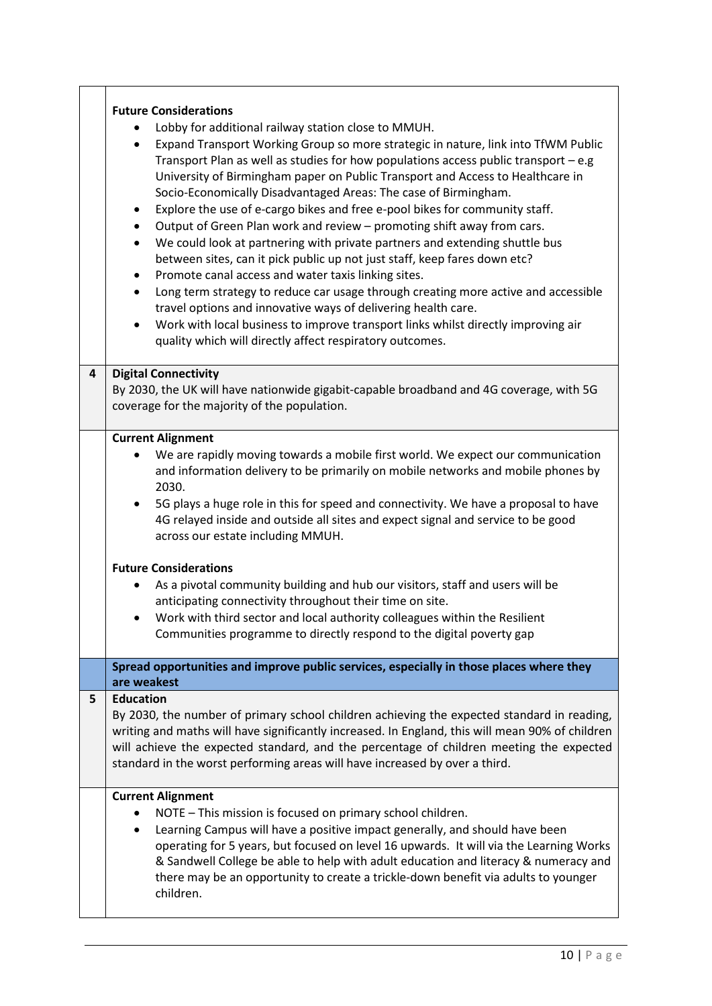|    | <b>Future Considerations</b><br>Lobby for additional railway station close to MMUH.<br>Expand Transport Working Group so more strategic in nature, link into TfWM Public<br>$\bullet$<br>Transport Plan as well as studies for how populations access public transport $-e.g.$<br>University of Birmingham paper on Public Transport and Access to Healthcare in<br>Socio-Economically Disadvantaged Areas: The case of Birmingham.<br>Explore the use of e-cargo bikes and free e-pool bikes for community staff.<br>$\bullet$<br>Output of Green Plan work and review - promoting shift away from cars.<br>$\bullet$<br>We could look at partnering with private partners and extending shuttle bus<br>$\bullet$<br>between sites, can it pick public up not just staff, keep fares down etc?<br>Promote canal access and water taxis linking sites.<br>$\bullet$<br>Long term strategy to reduce car usage through creating more active and accessible<br>$\bullet$<br>travel options and innovative ways of delivering health care.<br>Work with local business to improve transport links whilst directly improving air<br>$\bullet$<br>quality which will directly affect respiratory outcomes. |
|----|-------------------------------------------------------------------------------------------------------------------------------------------------------------------------------------------------------------------------------------------------------------------------------------------------------------------------------------------------------------------------------------------------------------------------------------------------------------------------------------------------------------------------------------------------------------------------------------------------------------------------------------------------------------------------------------------------------------------------------------------------------------------------------------------------------------------------------------------------------------------------------------------------------------------------------------------------------------------------------------------------------------------------------------------------------------------------------------------------------------------------------------------------------------------------------------------------------|
| 4  | <b>Digital Connectivity</b><br>By 2030, the UK will have nationwide gigabit-capable broadband and 4G coverage, with 5G<br>coverage for the majority of the population.                                                                                                                                                                                                                                                                                                                                                                                                                                                                                                                                                                                                                                                                                                                                                                                                                                                                                                                                                                                                                                |
|    | <b>Current Alignment</b><br>We are rapidly moving towards a mobile first world. We expect our communication<br>and information delivery to be primarily on mobile networks and mobile phones by<br>2030.<br>5G plays a huge role in this for speed and connectivity. We have a proposal to have<br>٠<br>4G relayed inside and outside all sites and expect signal and service to be good<br>across our estate including MMUH.<br><b>Future Considerations</b><br>As a pivotal community building and hub our visitors, staff and users will be<br>anticipating connectivity throughout their time on site.<br>Work with third sector and local authority colleagues within the Resilient<br>Communities programme to directly respond to the digital poverty gap                                                                                                                                                                                                                                                                                                                                                                                                                                      |
|    | Spread opportunities and improve public services, especially in those places where they<br>are weakest                                                                                                                                                                                                                                                                                                                                                                                                                                                                                                                                                                                                                                                                                                                                                                                                                                                                                                                                                                                                                                                                                                |
| 5. | <b>Education</b><br>By 2030, the number of primary school children achieving the expected standard in reading,<br>writing and maths will have significantly increased. In England, this will mean 90% of children<br>will achieve the expected standard, and the percentage of children meeting the expected<br>standard in the worst performing areas will have increased by over a third.                                                                                                                                                                                                                                                                                                                                                                                                                                                                                                                                                                                                                                                                                                                                                                                                           |
|    | <b>Current Alignment</b><br>NOTE - This mission is focused on primary school children.<br>٠<br>Learning Campus will have a positive impact generally, and should have been<br>٠<br>operating for 5 years, but focused on level 16 upwards. It will via the Learning Works<br>& Sandwell College be able to help with adult education and literacy & numeracy and<br>there may be an opportunity to create a trickle-down benefit via adults to younger<br>children.                                                                                                                                                                                                                                                                                                                                                                                                                                                                                                                                                                                                                                                                                                                                   |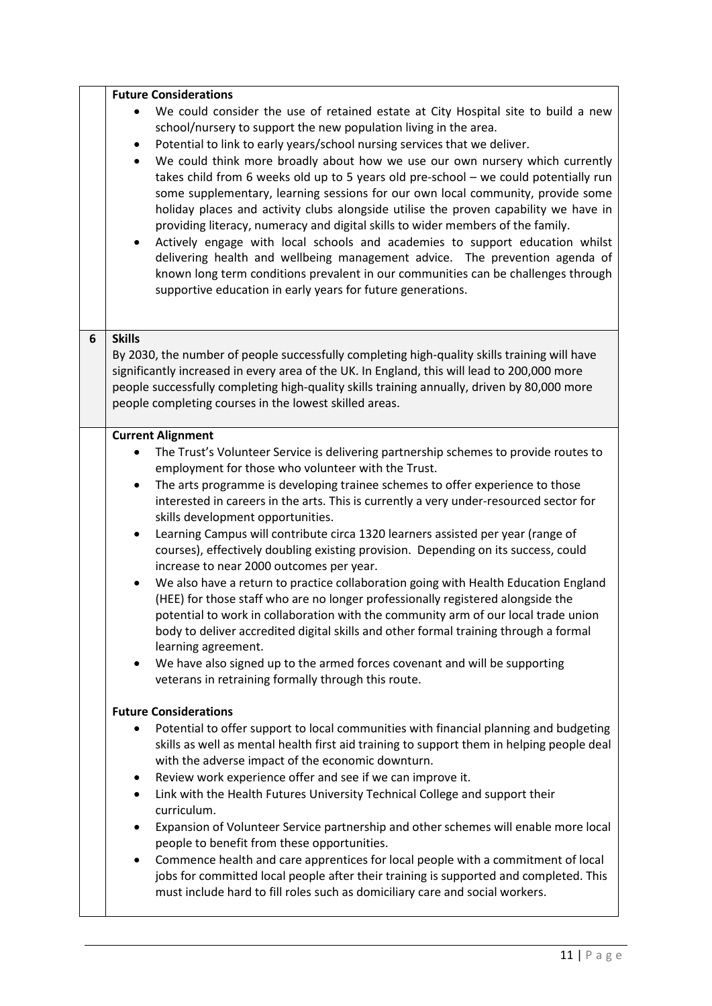|   | <b>Future Considerations</b>                                                                                                                                                                                                                                                                                                                                                                                                                                                                                                                                                                                                                                                                                                                                                                                                                                                                                                                                                                                                       |
|---|------------------------------------------------------------------------------------------------------------------------------------------------------------------------------------------------------------------------------------------------------------------------------------------------------------------------------------------------------------------------------------------------------------------------------------------------------------------------------------------------------------------------------------------------------------------------------------------------------------------------------------------------------------------------------------------------------------------------------------------------------------------------------------------------------------------------------------------------------------------------------------------------------------------------------------------------------------------------------------------------------------------------------------|
|   | We could consider the use of retained estate at City Hospital site to build a new<br>school/nursery to support the new population living in the area.<br>Potential to link to early years/school nursing services that we deliver.<br>$\bullet$<br>We could think more broadly about how we use our own nursery which currently<br>$\bullet$<br>takes child from 6 weeks old up to 5 years old pre-school - we could potentially run<br>some supplementary, learning sessions for our own local community, provide some<br>holiday places and activity clubs alongside utilise the proven capability we have in<br>providing literacy, numeracy and digital skills to wider members of the family.<br>Actively engage with local schools and academies to support education whilst<br>$\bullet$<br>delivering health and wellbeing management advice. The prevention agenda of<br>known long term conditions prevalent in our communities can be challenges through<br>supportive education in early years for future generations. |
| 6 | <b>Skills</b><br>By 2030, the number of people successfully completing high-quality skills training will have                                                                                                                                                                                                                                                                                                                                                                                                                                                                                                                                                                                                                                                                                                                                                                                                                                                                                                                      |
|   | significantly increased in every area of the UK. In England, this will lead to 200,000 more                                                                                                                                                                                                                                                                                                                                                                                                                                                                                                                                                                                                                                                                                                                                                                                                                                                                                                                                        |
|   | people successfully completing high-quality skills training annually, driven by 80,000 more                                                                                                                                                                                                                                                                                                                                                                                                                                                                                                                                                                                                                                                                                                                                                                                                                                                                                                                                        |
|   | people completing courses in the lowest skilled areas.                                                                                                                                                                                                                                                                                                                                                                                                                                                                                                                                                                                                                                                                                                                                                                                                                                                                                                                                                                             |
|   | <b>Current Alignment</b>                                                                                                                                                                                                                                                                                                                                                                                                                                                                                                                                                                                                                                                                                                                                                                                                                                                                                                                                                                                                           |
|   | The Trust's Volunteer Service is delivering partnership schemes to provide routes to                                                                                                                                                                                                                                                                                                                                                                                                                                                                                                                                                                                                                                                                                                                                                                                                                                                                                                                                               |
|   | employment for those who volunteer with the Trust.<br>The arts programme is developing trainee schemes to offer experience to those                                                                                                                                                                                                                                                                                                                                                                                                                                                                                                                                                                                                                                                                                                                                                                                                                                                                                                |
|   | $\bullet$<br>interested in careers in the arts. This is currently a very under-resourced sector for                                                                                                                                                                                                                                                                                                                                                                                                                                                                                                                                                                                                                                                                                                                                                                                                                                                                                                                                |
|   | skills development opportunities.                                                                                                                                                                                                                                                                                                                                                                                                                                                                                                                                                                                                                                                                                                                                                                                                                                                                                                                                                                                                  |
|   | Learning Campus will contribute circa 1320 learners assisted per year (range of<br>$\bullet$                                                                                                                                                                                                                                                                                                                                                                                                                                                                                                                                                                                                                                                                                                                                                                                                                                                                                                                                       |
|   | courses), effectively doubling existing provision. Depending on its success, could                                                                                                                                                                                                                                                                                                                                                                                                                                                                                                                                                                                                                                                                                                                                                                                                                                                                                                                                                 |
|   | increase to near 2000 outcomes per year.<br>We also have a return to practice collaboration going with Health Education England                                                                                                                                                                                                                                                                                                                                                                                                                                                                                                                                                                                                                                                                                                                                                                                                                                                                                                    |
|   | (HEE) for those staff who are no longer professionally registered alongside the                                                                                                                                                                                                                                                                                                                                                                                                                                                                                                                                                                                                                                                                                                                                                                                                                                                                                                                                                    |
|   | potential to work in collaboration with the community arm of our local trade union                                                                                                                                                                                                                                                                                                                                                                                                                                                                                                                                                                                                                                                                                                                                                                                                                                                                                                                                                 |
|   | body to deliver accredited digital skills and other formal training through a formal                                                                                                                                                                                                                                                                                                                                                                                                                                                                                                                                                                                                                                                                                                                                                                                                                                                                                                                                               |
|   | learning agreement.<br>We have also signed up to the armed forces covenant and will be supporting                                                                                                                                                                                                                                                                                                                                                                                                                                                                                                                                                                                                                                                                                                                                                                                                                                                                                                                                  |
|   | ٠<br>veterans in retraining formally through this route.                                                                                                                                                                                                                                                                                                                                                                                                                                                                                                                                                                                                                                                                                                                                                                                                                                                                                                                                                                           |
|   |                                                                                                                                                                                                                                                                                                                                                                                                                                                                                                                                                                                                                                                                                                                                                                                                                                                                                                                                                                                                                                    |
|   | <b>Future Considerations</b>                                                                                                                                                                                                                                                                                                                                                                                                                                                                                                                                                                                                                                                                                                                                                                                                                                                                                                                                                                                                       |
|   | Potential to offer support to local communities with financial planning and budgeting<br>skills as well as mental health first aid training to support them in helping people deal                                                                                                                                                                                                                                                                                                                                                                                                                                                                                                                                                                                                                                                                                                                                                                                                                                                 |
|   | with the adverse impact of the economic downturn.                                                                                                                                                                                                                                                                                                                                                                                                                                                                                                                                                                                                                                                                                                                                                                                                                                                                                                                                                                                  |
|   | Review work experience offer and see if we can improve it.<br>٠                                                                                                                                                                                                                                                                                                                                                                                                                                                                                                                                                                                                                                                                                                                                                                                                                                                                                                                                                                    |
|   | Link with the Health Futures University Technical College and support their<br>٠<br>curriculum.                                                                                                                                                                                                                                                                                                                                                                                                                                                                                                                                                                                                                                                                                                                                                                                                                                                                                                                                    |
|   | Expansion of Volunteer Service partnership and other schemes will enable more local                                                                                                                                                                                                                                                                                                                                                                                                                                                                                                                                                                                                                                                                                                                                                                                                                                                                                                                                                |
|   | people to benefit from these opportunities.                                                                                                                                                                                                                                                                                                                                                                                                                                                                                                                                                                                                                                                                                                                                                                                                                                                                                                                                                                                        |
|   | Commence health and care apprentices for local people with a commitment of local<br>٠                                                                                                                                                                                                                                                                                                                                                                                                                                                                                                                                                                                                                                                                                                                                                                                                                                                                                                                                              |
|   | jobs for committed local people after their training is supported and completed. This                                                                                                                                                                                                                                                                                                                                                                                                                                                                                                                                                                                                                                                                                                                                                                                                                                                                                                                                              |
|   | must include hard to fill roles such as domiciliary care and social workers.                                                                                                                                                                                                                                                                                                                                                                                                                                                                                                                                                                                                                                                                                                                                                                                                                                                                                                                                                       |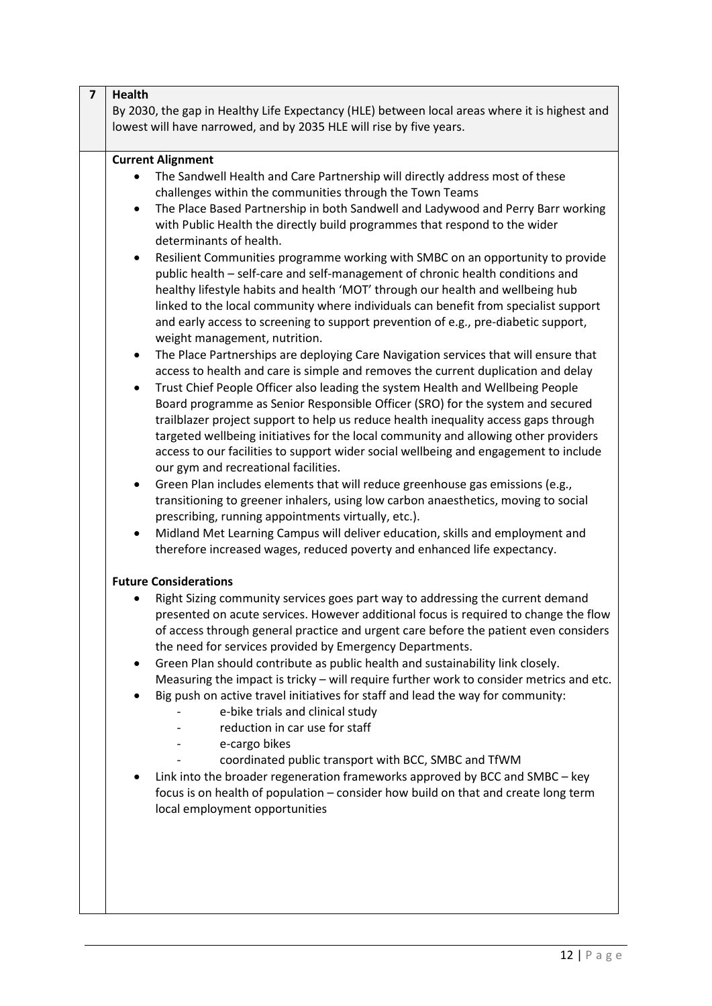| <b>Health</b>                                                                                                                                                                                                                                                                                                                                                                                                                                                                                                                                                                                                                                                                                                                                                                                                                                                                                                                                                                                                                                                                                                                                                                                                                                                                                                                                                                                                                                                                                                                                                                                                                                                                                                                                                                                                                                                                                                          |
|------------------------------------------------------------------------------------------------------------------------------------------------------------------------------------------------------------------------------------------------------------------------------------------------------------------------------------------------------------------------------------------------------------------------------------------------------------------------------------------------------------------------------------------------------------------------------------------------------------------------------------------------------------------------------------------------------------------------------------------------------------------------------------------------------------------------------------------------------------------------------------------------------------------------------------------------------------------------------------------------------------------------------------------------------------------------------------------------------------------------------------------------------------------------------------------------------------------------------------------------------------------------------------------------------------------------------------------------------------------------------------------------------------------------------------------------------------------------------------------------------------------------------------------------------------------------------------------------------------------------------------------------------------------------------------------------------------------------------------------------------------------------------------------------------------------------------------------------------------------------------------------------------------------------|
| By 2030, the gap in Healthy Life Expectancy (HLE) between local areas where it is highest and<br>lowest will have narrowed, and by 2035 HLE will rise by five years.                                                                                                                                                                                                                                                                                                                                                                                                                                                                                                                                                                                                                                                                                                                                                                                                                                                                                                                                                                                                                                                                                                                                                                                                                                                                                                                                                                                                                                                                                                                                                                                                                                                                                                                                                   |
| <b>Current Alignment</b>                                                                                                                                                                                                                                                                                                                                                                                                                                                                                                                                                                                                                                                                                                                                                                                                                                                                                                                                                                                                                                                                                                                                                                                                                                                                                                                                                                                                                                                                                                                                                                                                                                                                                                                                                                                                                                                                                               |
| The Sandwell Health and Care Partnership will directly address most of these<br>challenges within the communities through the Town Teams<br>The Place Based Partnership in both Sandwell and Ladywood and Perry Barr working<br>$\bullet$<br>with Public Health the directly build programmes that respond to the wider<br>determinants of health.<br>Resilient Communities programme working with SMBC on an opportunity to provide<br>$\bullet$<br>public health - self-care and self-management of chronic health conditions and<br>healthy lifestyle habits and health 'MOT' through our health and wellbeing hub<br>linked to the local community where individuals can benefit from specialist support<br>and early access to screening to support prevention of e.g., pre-diabetic support,<br>weight management, nutrition.<br>The Place Partnerships are deploying Care Navigation services that will ensure that<br>$\bullet$<br>access to health and care is simple and removes the current duplication and delay<br>Trust Chief People Officer also leading the system Health and Wellbeing People<br>Board programme as Senior Responsible Officer (SRO) for the system and secured<br>trailblazer project support to help us reduce health inequality access gaps through<br>targeted wellbeing initiatives for the local community and allowing other providers<br>access to our facilities to support wider social wellbeing and engagement to include<br>our gym and recreational facilities.<br>Green Plan includes elements that will reduce greenhouse gas emissions (e.g.,<br>$\bullet$<br>transitioning to greener inhalers, using low carbon anaesthetics, moving to social<br>prescribing, running appointments virtually, etc.).<br>Midland Met Learning Campus will deliver education, skills and employment and<br>therefore increased wages, reduced poverty and enhanced life expectancy. |
| <b>Future Considerations</b><br>Right Sizing community services goes part way to addressing the current demand<br>presented on acute services. However additional focus is required to change the flow<br>of access through general practice and urgent care before the patient even considers<br>the need for services provided by Emergency Departments.<br>Green Plan should contribute as public health and sustainability link closely.<br>٠<br>Measuring the impact is tricky - will require further work to consider metrics and etc.<br>Big push on active travel initiatives for staff and lead the way for community:<br>e-bike trials and clinical study<br>reduction in car use for staff<br>e-cargo bikes<br>coordinated public transport with BCC, SMBC and TfWM<br>Link into the broader regeneration frameworks approved by BCC and SMBC - key<br>focus is on health of population - consider how build on that and create long term<br>local employment opportunities                                                                                                                                                                                                                                                                                                                                                                                                                                                                                                                                                                                                                                                                                                                                                                                                                                                                                                                                 |
|                                                                                                                                                                                                                                                                                                                                                                                                                                                                                                                                                                                                                                                                                                                                                                                                                                                                                                                                                                                                                                                                                                                                                                                                                                                                                                                                                                                                                                                                                                                                                                                                                                                                                                                                                                                                                                                                                                                        |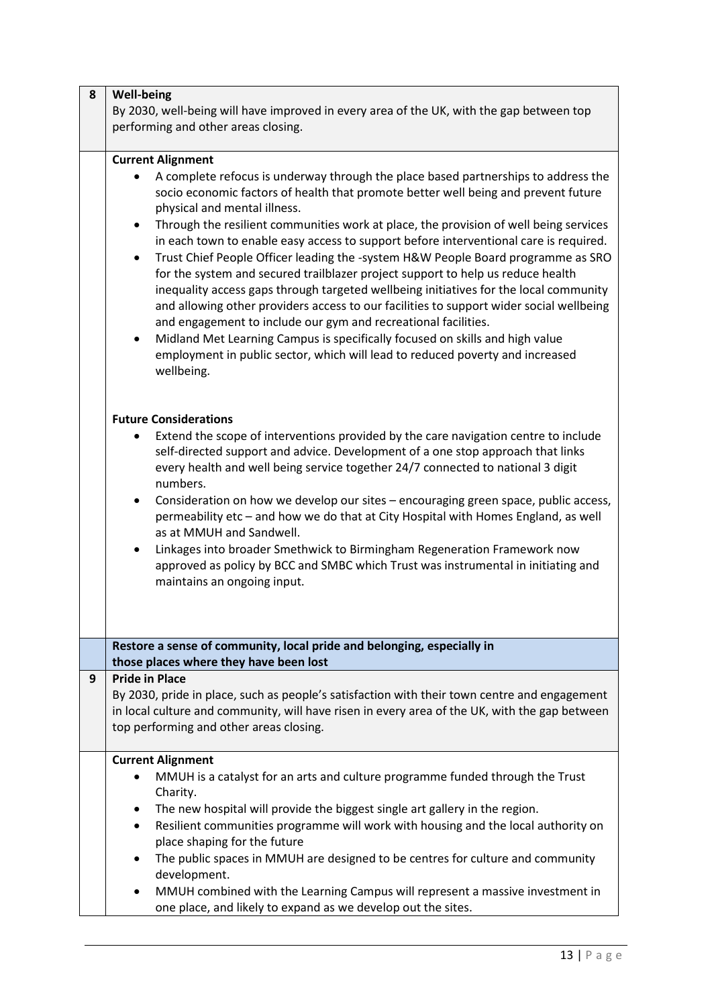| 8 | <b>Well-being</b><br>By 2030, well-being will have improved in every area of the UK, with the gap between top<br>performing and other areas closing.                                                                                                                                                                                                                                                                                                                                                                                                                                                                                                                                                                                                                                                |
|---|-----------------------------------------------------------------------------------------------------------------------------------------------------------------------------------------------------------------------------------------------------------------------------------------------------------------------------------------------------------------------------------------------------------------------------------------------------------------------------------------------------------------------------------------------------------------------------------------------------------------------------------------------------------------------------------------------------------------------------------------------------------------------------------------------------|
|   | <b>Current Alignment</b>                                                                                                                                                                                                                                                                                                                                                                                                                                                                                                                                                                                                                                                                                                                                                                            |
|   | A complete refocus is underway through the place based partnerships to address the<br>socio economic factors of health that promote better well being and prevent future<br>physical and mental illness.                                                                                                                                                                                                                                                                                                                                                                                                                                                                                                                                                                                            |
|   | Through the resilient communities work at place, the provision of well being services<br>٠<br>in each town to enable easy access to support before interventional care is required.<br>Trust Chief People Officer leading the -system H&W People Board programme as SRO<br>$\bullet$<br>for the system and secured trailblazer project support to help us reduce health<br>inequality access gaps through targeted wellbeing initiatives for the local community<br>and allowing other providers access to our facilities to support wider social wellbeing<br>and engagement to include our gym and recreational facilities.<br>Midland Met Learning Campus is specifically focused on skills and high value<br>٠<br>employment in public sector, which will lead to reduced poverty and increased |
|   | wellbeing.<br><b>Future Considerations</b><br>Extend the scope of interventions provided by the care navigation centre to include<br>self-directed support and advice. Development of a one stop approach that links<br>every health and well being service together 24/7 connected to national 3 digit<br>numbers.<br>Consideration on how we develop our sites - encouraging green space, public access,<br>$\bullet$<br>permeability etc - and how we do that at City Hospital with Homes England, as well<br>as at MMUH and Sandwell.<br>Linkages into broader Smethwick to Birmingham Regeneration Framework now<br>approved as policy by BCC and SMBC which Trust was instrumental in initiating and<br>maintains an ongoing input.                                                           |
|   |                                                                                                                                                                                                                                                                                                                                                                                                                                                                                                                                                                                                                                                                                                                                                                                                     |
|   | Restore a sense of community, local pride and belonging, especially in                                                                                                                                                                                                                                                                                                                                                                                                                                                                                                                                                                                                                                                                                                                              |
|   | those places where they have been lost                                                                                                                                                                                                                                                                                                                                                                                                                                                                                                                                                                                                                                                                                                                                                              |
| 9 | <b>Pride in Place</b>                                                                                                                                                                                                                                                                                                                                                                                                                                                                                                                                                                                                                                                                                                                                                                               |
|   | By 2030, pride in place, such as people's satisfaction with their town centre and engagement<br>in local culture and community, will have risen in every area of the UK, with the gap between                                                                                                                                                                                                                                                                                                                                                                                                                                                                                                                                                                                                       |
|   | top performing and other areas closing.                                                                                                                                                                                                                                                                                                                                                                                                                                                                                                                                                                                                                                                                                                                                                             |
|   |                                                                                                                                                                                                                                                                                                                                                                                                                                                                                                                                                                                                                                                                                                                                                                                                     |
|   | <b>Current Alignment</b>                                                                                                                                                                                                                                                                                                                                                                                                                                                                                                                                                                                                                                                                                                                                                                            |
|   | MMUH is a catalyst for an arts and culture programme funded through the Trust<br>Charity.                                                                                                                                                                                                                                                                                                                                                                                                                                                                                                                                                                                                                                                                                                           |
|   | The new hospital will provide the biggest single art gallery in the region.<br>٠                                                                                                                                                                                                                                                                                                                                                                                                                                                                                                                                                                                                                                                                                                                    |
|   | Resilient communities programme will work with housing and the local authority on<br>$\bullet$<br>place shaping for the future                                                                                                                                                                                                                                                                                                                                                                                                                                                                                                                                                                                                                                                                      |
|   | The public spaces in MMUH are designed to be centres for culture and community<br>٠<br>development.                                                                                                                                                                                                                                                                                                                                                                                                                                                                                                                                                                                                                                                                                                 |
|   | MMUH combined with the Learning Campus will represent a massive investment in<br>one place, and likely to expand as we develop out the sites.                                                                                                                                                                                                                                                                                                                                                                                                                                                                                                                                                                                                                                                       |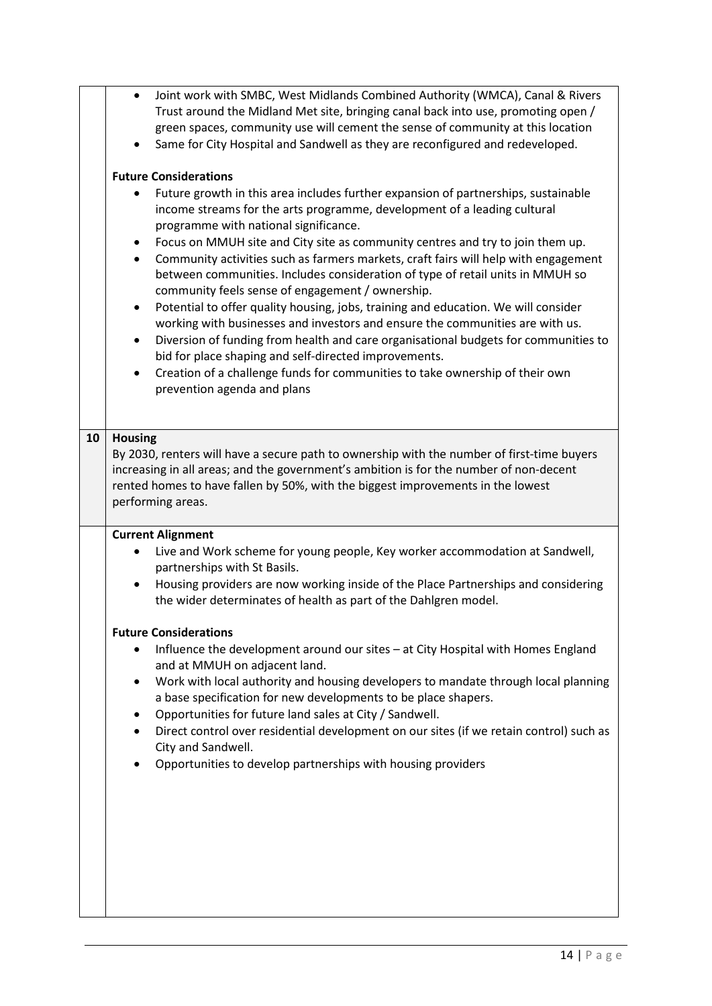|    | Joint work with SMBC, West Midlands Combined Authority (WMCA), Canal & Rivers<br>$\bullet$<br>Trust around the Midland Met site, bringing canal back into use, promoting open /<br>green spaces, community use will cement the sense of community at this location<br>Same for City Hospital and Sandwell as they are reconfigured and redeveloped.<br><b>Future Considerations</b><br>Future growth in this area includes further expansion of partnerships, sustainable<br>income streams for the arts programme, development of a leading cultural<br>programme with national significance.<br>Focus on MMUH site and City site as community centres and try to join them up.<br>Community activities such as farmers markets, craft fairs will help with engagement<br>$\bullet$<br>between communities. Includes consideration of type of retail units in MMUH so<br>community feels sense of engagement / ownership.<br>Potential to offer quality housing, jobs, training and education. We will consider<br>working with businesses and investors and ensure the communities are with us.<br>Diversion of funding from health and care organisational budgets for communities to<br>$\bullet$<br>bid for place shaping and self-directed improvements.<br>Creation of a challenge funds for communities to take ownership of their own<br>prevention agenda and plans |
|----|-------------------------------------------------------------------------------------------------------------------------------------------------------------------------------------------------------------------------------------------------------------------------------------------------------------------------------------------------------------------------------------------------------------------------------------------------------------------------------------------------------------------------------------------------------------------------------------------------------------------------------------------------------------------------------------------------------------------------------------------------------------------------------------------------------------------------------------------------------------------------------------------------------------------------------------------------------------------------------------------------------------------------------------------------------------------------------------------------------------------------------------------------------------------------------------------------------------------------------------------------------------------------------------------------------------------------------------------------------------------------------|
| 10 | <b>Housing</b><br>By 2030, renters will have a secure path to ownership with the number of first-time buyers<br>increasing in all areas; and the government's ambition is for the number of non-decent<br>rented homes to have fallen by 50%, with the biggest improvements in the lowest<br>performing areas.                                                                                                                                                                                                                                                                                                                                                                                                                                                                                                                                                                                                                                                                                                                                                                                                                                                                                                                                                                                                                                                                |
|    | <b>Current Alignment</b><br>Live and Work scheme for young people, Key worker accommodation at Sandwell,<br>partnerships with St Basils.<br>Housing providers are now working inside of the Place Partnerships and considering<br>$\bullet$<br>the wider determinates of health as part of the Dahlgren model.<br><b>Future Considerations</b><br>Influence the development around our sites - at City Hospital with Homes England<br>and at MMUH on adjacent land.<br>Work with local authority and housing developers to mandate through local planning<br>a base specification for new developments to be place shapers.<br>Opportunities for future land sales at City / Sandwell.<br>Direct control over residential development on our sites (if we retain control) such as<br>City and Sandwell.<br>Opportunities to develop partnerships with housing providers                                                                                                                                                                                                                                                                                                                                                                                                                                                                                                       |